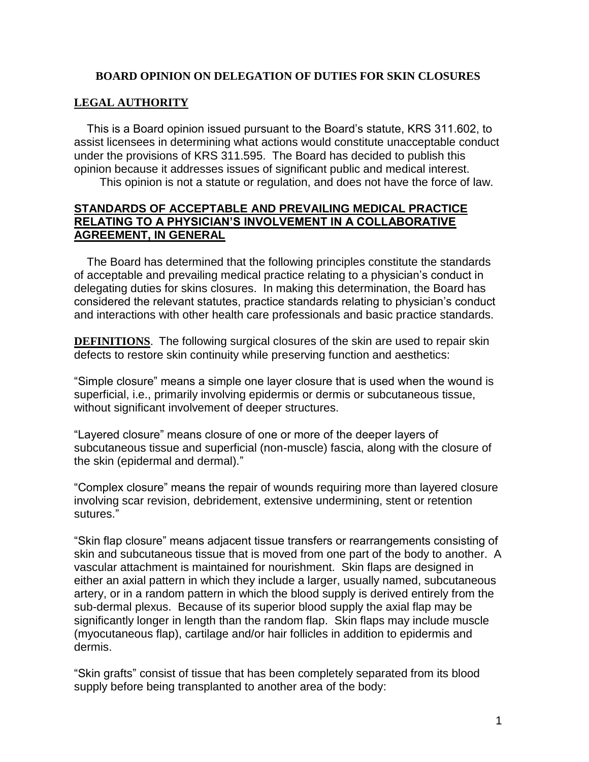## **BOARD OPINION ON DELEGATION OF DUTIES FOR SKIN CLOSURES**

## **LEGAL AUTHORITY**

 This is a Board opinion issued pursuant to the Board's statute, KRS 311.602, to assist licensees in determining what actions would constitute unacceptable conduct under the provisions of KRS 311.595. The Board has decided to publish this opinion because it addresses issues of significant public and medical interest.

This opinion is not a statute or regulation, and does not have the force of law.

## **STANDARDS OF ACCEPTABLE AND PREVAILING MEDICAL PRACTICE RELATING TO A PHYSICIAN'S INVOLVEMENT IN A COLLABORATIVE AGREEMENT, IN GENERAL**

 The Board has determined that the following principles constitute the standards of acceptable and prevailing medical practice relating to a physician's conduct in delegating duties for skins closures. In making this determination, the Board has considered the relevant statutes, practice standards relating to physician's conduct and interactions with other health care professionals and basic practice standards.

**DEFINITIONS**. The following surgical closures of the skin are used to repair skin defects to restore skin continuity while preserving function and aesthetics:

"Simple closure" means a simple one layer closure that is used when the wound is superficial, i.e., primarily involving epidermis or dermis or subcutaneous tissue, without significant involvement of deeper structures.

"Layered closure" means closure of one or more of the deeper layers of subcutaneous tissue and superficial (non-muscle) fascia, along with the closure of the skin (epidermal and dermal)."

"Complex closure" means the repair of wounds requiring more than layered closure involving scar revision, debridement, extensive undermining, stent or retention sutures."

"Skin flap closure" means adjacent tissue transfers or rearrangements consisting of skin and subcutaneous tissue that is moved from one part of the body to another. A vascular attachment is maintained for nourishment. Skin flaps are designed in either an axial pattern in which they include a larger, usually named, subcutaneous artery, or in a random pattern in which the blood supply is derived entirely from the sub-dermal plexus. Because of its superior blood supply the axial flap may be significantly longer in length than the random flap. Skin flaps may include muscle (myocutaneous flap), cartilage and/or hair follicles in addition to epidermis and dermis.

"Skin grafts" consist of tissue that has been completely separated from its blood supply before being transplanted to another area of the body: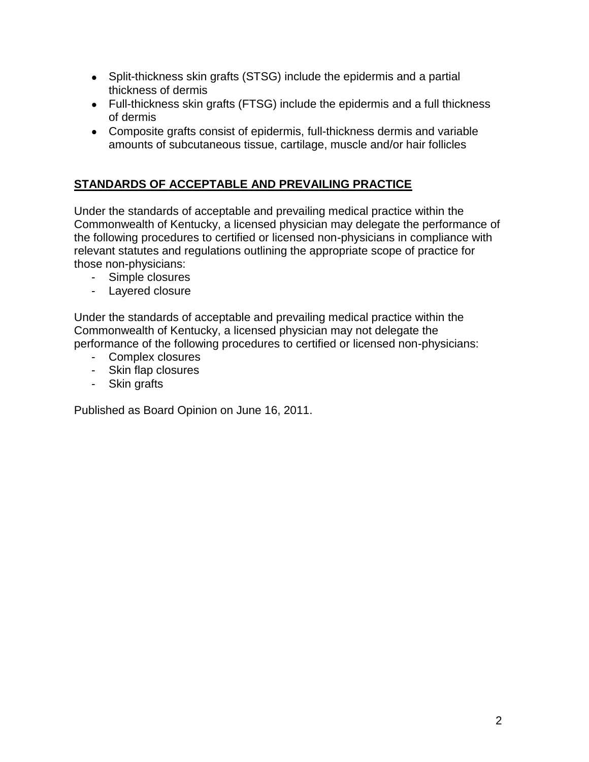- Split-thickness skin grafts (STSG) include the epidermis and a partial thickness of dermis
- Full-thickness skin grafts (FTSG) include the epidermis and a full thickness of dermis
- Composite grafts consist of epidermis, full-thickness dermis and variable amounts of subcutaneous tissue, cartilage, muscle and/or hair follicles

## **STANDARDS OF ACCEPTABLE AND PREVAILING PRACTICE**

Under the standards of acceptable and prevailing medical practice within the Commonwealth of Kentucky, a licensed physician may delegate the performance of the following procedures to certified or licensed non-physicians in compliance with relevant statutes and regulations outlining the appropriate scope of practice for those non-physicians:

- Simple closures
- Layered closure

Under the standards of acceptable and prevailing medical practice within the Commonwealth of Kentucky, a licensed physician may not delegate the performance of the following procedures to certified or licensed non-physicians:

- Complex closures
- Skin flap closures
- Skin grafts

Published as Board Opinion on June 16, 2011.